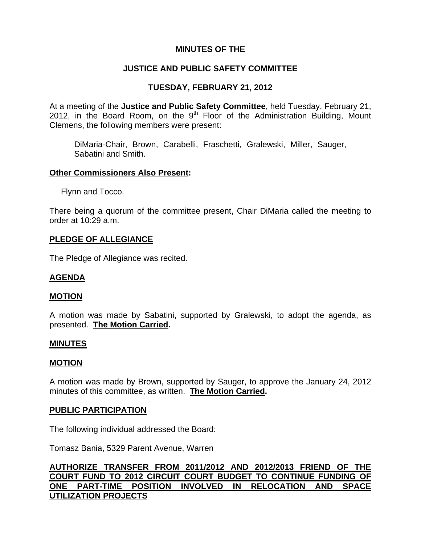# **MINUTES OF THE**

# **JUSTICE AND PUBLIC SAFETY COMMITTEE**

# **TUESDAY, FEBRUARY 21, 2012**

At a meeting of the **Justice and Public Safety Committee**, held Tuesday, February 21, 2012, in the Board Room, on the  $9<sup>th</sup>$  Floor of the Administration Building, Mount Clemens, the following members were present:

DiMaria-Chair, Brown, Carabelli, Fraschetti, Gralewski, Miller, Sauger, Sabatini and Smith.

## **Other Commissioners Also Present:**

Flynn and Tocco.

There being a quorum of the committee present, Chair DiMaria called the meeting to order at 10:29 a.m.

### **PLEDGE OF ALLEGIANCE**

The Pledge of Allegiance was recited.

## **AGENDA**

### **MOTION**

A motion was made by Sabatini, supported by Gralewski, to adopt the agenda, as presented. **The Motion Carried.** 

### **MINUTES**

### **MOTION**

A motion was made by Brown, supported by Sauger, to approve the January 24, 2012 minutes of this committee, as written. **The Motion Carried.** 

### **PUBLIC PARTICIPATION**

The following individual addressed the Board:

Tomasz Bania, 5329 Parent Avenue, Warren

**AUTHORIZE TRANSFER FROM 2011/2012 AND 2012/2013 FRIEND OF THE COURT FUND TO 2012 CIRCUIT COURT BUDGET TO CONTINUE FUNDING OF ONE PART-TIME POSITION INVOLVED IN RELOCATION AND SPACE UTILIZATION PROJECTS**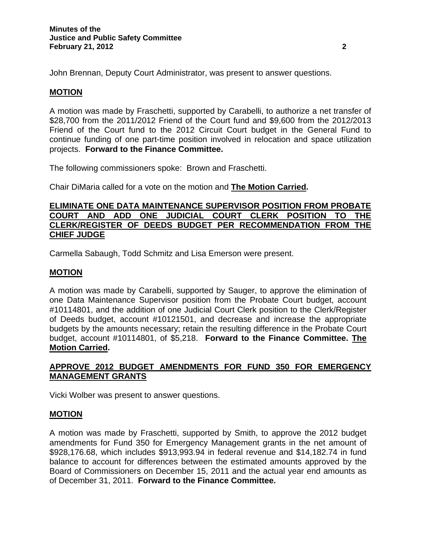John Brennan, Deputy Court Administrator, was present to answer questions.

# **MOTION**

A motion was made by Fraschetti, supported by Carabelli, to authorize a net transfer of \$28,700 from the 2011/2012 Friend of the Court fund and \$9,600 from the 2012/2013 Friend of the Court fund to the 2012 Circuit Court budget in the General Fund to continue funding of one part-time position involved in relocation and space utilization projects. **Forward to the Finance Committee.** 

The following commissioners spoke: Brown and Fraschetti.

Chair DiMaria called for a vote on the motion and **The Motion Carried.** 

## **ELIMINATE ONE DATA MAINTENANCE SUPERVISOR POSITION FROM PROBATE COURT AND ADD ONE JUDICIAL COURT CLERK POSITION TO THE CLERK/REGISTER OF DEEDS BUDGET PER RECOMMENDATION FROM THE CHIEF JUDGE**

Carmella Sabaugh, Todd Schmitz and Lisa Emerson were present.

## **MOTION**

A motion was made by Carabelli, supported by Sauger, to approve the elimination of one Data Maintenance Supervisor position from the Probate Court budget, account #10114801, and the addition of one Judicial Court Clerk position to the Clerk/Register of Deeds budget, account #10121501, and decrease and increase the appropriate budgets by the amounts necessary; retain the resulting difference in the Probate Court budget, account #10114801, of \$5,218. **Forward to the Finance Committee. The Motion Carried.** 

# **APPROVE 2012 BUDGET AMENDMENTS FOR FUND 350 FOR EMERGENCY MANAGEMENT GRANTS**

Vicki Wolber was present to answer questions.

## **MOTION**

A motion was made by Fraschetti, supported by Smith, to approve the 2012 budget amendments for Fund 350 for Emergency Management grants in the net amount of \$928,176.68, which includes \$913,993.94 in federal revenue and \$14,182.74 in fund balance to account for differences between the estimated amounts approved by the Board of Commissioners on December 15, 2011 and the actual year end amounts as of December 31, 2011. **Forward to the Finance Committee.**